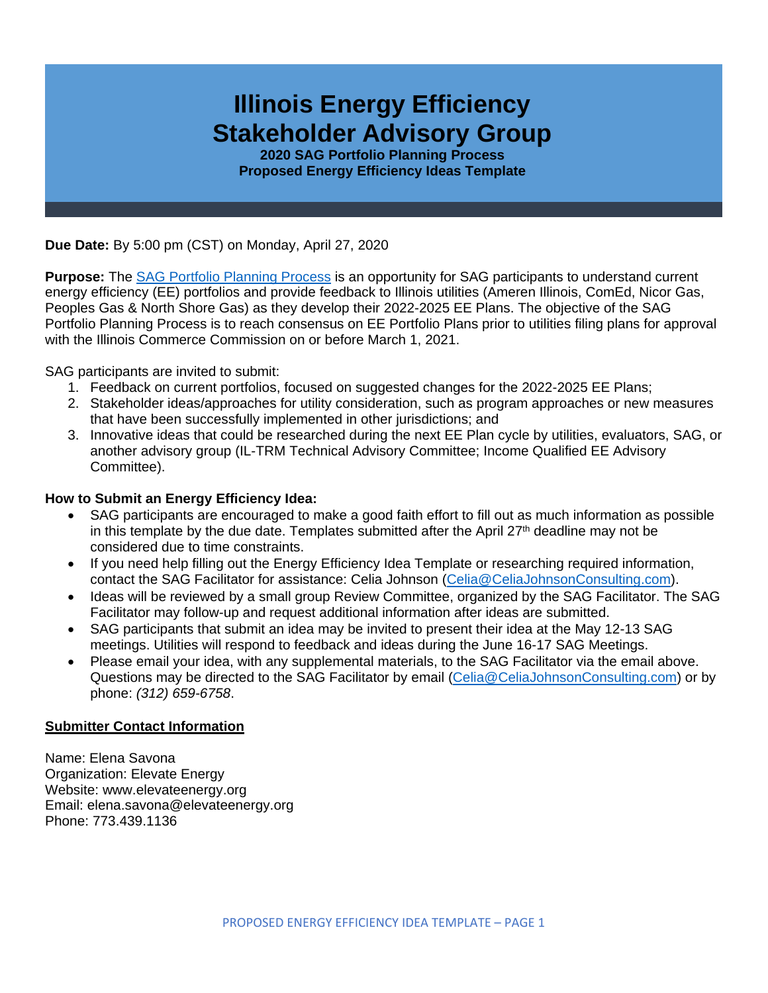

**2020 SAG Portfolio Planning Process Proposed Energy Efficiency Ideas Template**

**Due Date:** By 5:00 pm (CST) on Monday, April 27, 2020

**Purpose:** The [SAG Portfolio Planning Process](https://www.ilsag.info/meetings/portfolio-planning-process/) is an opportunity for SAG participants to understand current energy efficiency (EE) portfolios and provide feedback to Illinois utilities (Ameren Illinois, ComEd, Nicor Gas, Peoples Gas & North Shore Gas) as they develop their 2022-2025 EE Plans. The objective of the SAG Portfolio Planning Process is to reach consensus on EE Portfolio Plans prior to utilities filing plans for approval with the Illinois Commerce Commission on or before March 1, 2021.

SAG participants are invited to submit:

- 1. Feedback on current portfolios, focused on suggested changes for the 2022-2025 EE Plans;
- 2. Stakeholder ideas/approaches for utility consideration, such as program approaches or new measures that have been successfully implemented in other jurisdictions; and
- 3. Innovative ideas that could be researched during the next EE Plan cycle by utilities, evaluators, SAG, or another advisory group (IL-TRM Technical Advisory Committee; Income Qualified EE Advisory Committee).

### **How to Submit an Energy Efficiency Idea:**

- SAG participants are encouraged to make a good faith effort to fill out as much information as possible in this template by the due date. Templates submitted after the April  $27<sup>th</sup>$  deadline may not be considered due to time constraints.
- If you need help filling out the Energy Efficiency Idea Template or researching required information, contact the SAG Facilitator for assistance: Celia Johnson [\(Celia@CeliaJohnsonConsulting.com\)](mailto:Celia@CeliaJohnsonConsulting.com).
- Ideas will be reviewed by a small group Review Committee, organized by the SAG Facilitator. The SAG Facilitator may follow-up and request additional information after ideas are submitted.
- SAG participants that submit an idea may be invited to present their idea at the May 12-13 SAG meetings. Utilities will respond to feedback and ideas during the June 16-17 SAG Meetings.
- Please email your idea, with any supplemental materials, to the SAG Facilitator via the email above. Questions may be directed to the SAG Facilitator by email [\(Celia@CeliaJohnsonConsulting.com\)](mailto:Celia@CeliaJohnsonConsulting.com) or by phone: *(312) 659-6758*.

#### **Submitter Contact Information**

Name: Elena Savona Organization: Elevate Energy Website: www.elevateenergy.org Email: elena.savona@elevateenergy.org Phone: 773.439.1136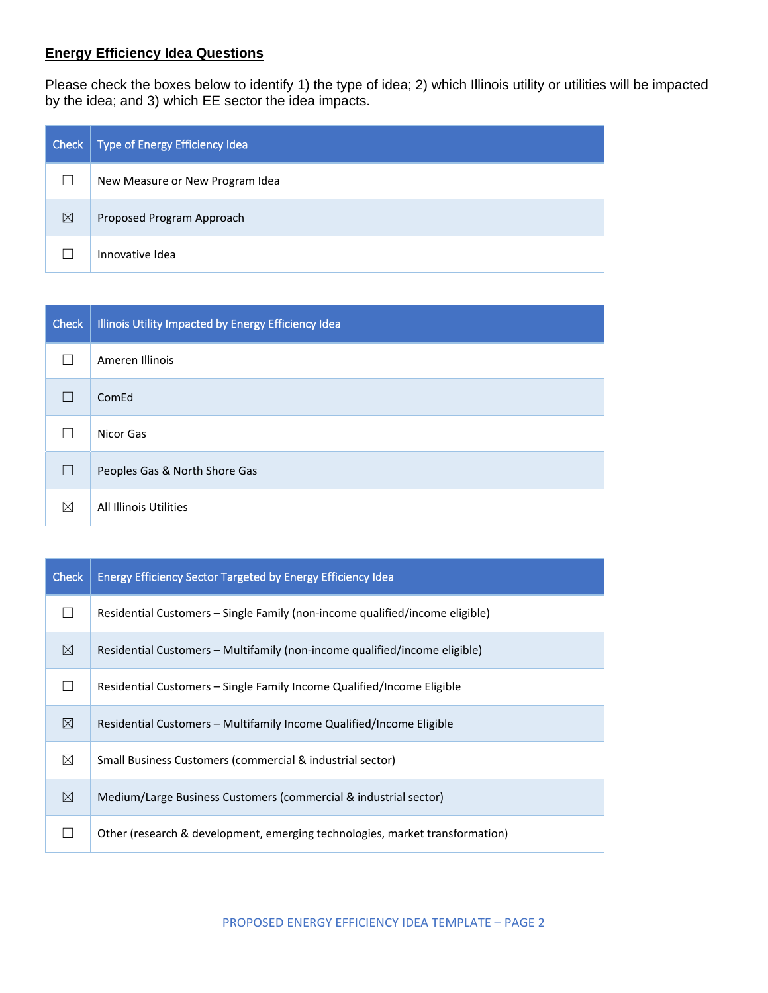# **Energy Efficiency Idea Questions**

Please check the boxes below to identify 1) the type of idea; 2) which Illinois utility or utilities will be impacted by the idea; and 3) which EE sector the idea impacts.

| Check | Type of Energy Efficiency Idea  |
|-------|---------------------------------|
|       | New Measure or New Program Idea |
| ⊠     | Proposed Program Approach       |
|       | Innovative Idea                 |

| <b>Check</b> | Illinois Utility Impacted by Energy Efficiency Idea |
|--------------|-----------------------------------------------------|
|              | Ameren Illinois                                     |
|              | ComEd                                               |
|              | Nicor Gas                                           |
|              | Peoples Gas & North Shore Gas                       |
| ⊠            | <b>All Illinois Utilities</b>                       |

| <b>Check</b> | <b>Energy Efficiency Sector Targeted by Energy Efficiency Idea</b>           |
|--------------|------------------------------------------------------------------------------|
|              | Residential Customers – Single Family (non-income qualified/income eligible) |
| ⊠            | Residential Customers – Multifamily (non-income qualified/income eligible)   |
|              | Residential Customers – Single Family Income Qualified/Income Eligible       |
| ⊠            | Residential Customers – Multifamily Income Qualified/Income Eligible         |
| ⊠            | Small Business Customers (commercial & industrial sector)                    |
| ⊠            | Medium/Large Business Customers (commercial & industrial sector)             |
|              | Other (research & development, emerging technologies, market transformation) |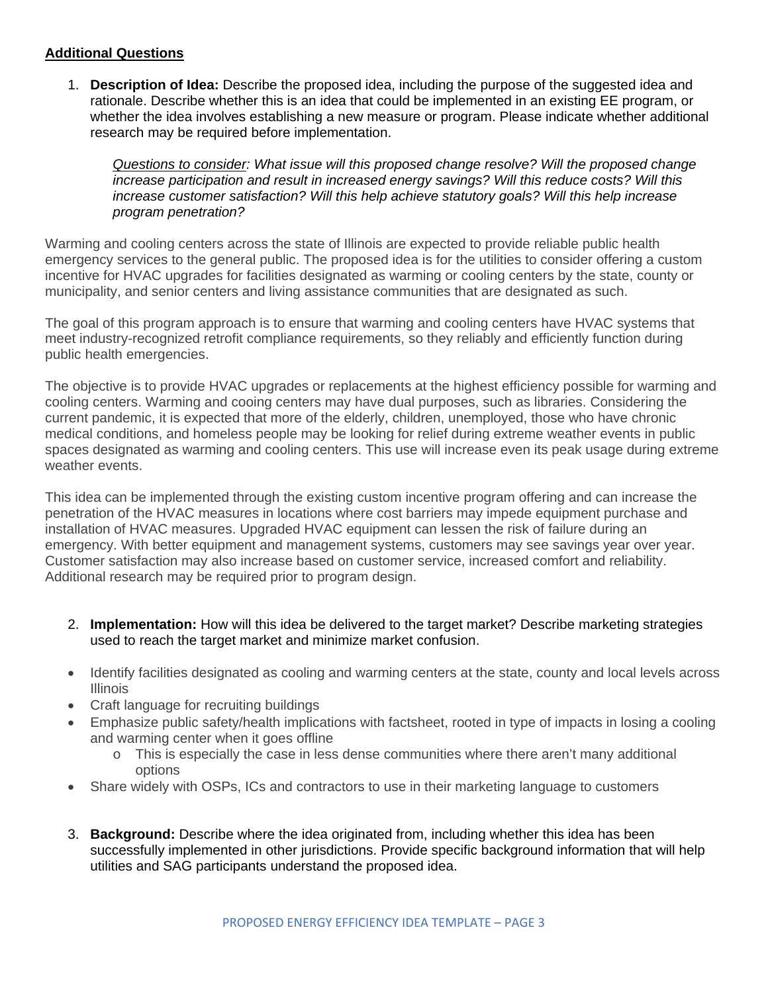### **Additional Questions**

1. **Description of Idea:** Describe the proposed idea, including the purpose of the suggested idea and rationale. Describe whether this is an idea that could be implemented in an existing EE program, or whether the idea involves establishing a new measure or program. Please indicate whether additional research may be required before implementation.

*Questions to consider: What issue will this proposed change resolve? Will the proposed change increase participation and result in increased energy savings? Will this reduce costs? Will this increase customer satisfaction? Will this help achieve statutory goals? Will this help increase program penetration?* 

Warming and cooling centers across the state of Illinois are expected to provide reliable public health emergency services to the general public. The proposed idea is for the utilities to consider offering a custom incentive for HVAC upgrades for facilities designated as warming or cooling centers by the state, county or municipality, and senior centers and living assistance communities that are designated as such.

The goal of this program approach is to ensure that warming and cooling centers have HVAC systems that meet industry-recognized retrofit compliance requirements, so they reliably and efficiently function during public health emergencies.

The objective is to provide HVAC upgrades or replacements at the highest efficiency possible for warming and cooling centers. Warming and cooing centers may have dual purposes, such as libraries. Considering the current pandemic, it is expected that more of the elderly, children, unemployed, those who have chronic medical conditions, and homeless people may be looking for relief during extreme weather events in public spaces designated as warming and cooling centers. This use will increase even its peak usage during extreme weather events.

This idea can be implemented through the existing custom incentive program offering and can increase the penetration of the HVAC measures in locations where cost barriers may impede equipment purchase and installation of HVAC measures. Upgraded HVAC equipment can lessen the risk of failure during an emergency. With better equipment and management systems, customers may see savings year over year. Customer satisfaction may also increase based on customer service, increased comfort and reliability. Additional research may be required prior to program design.

- 2. **Implementation:** How will this idea be delivered to the target market? Describe marketing strategies used to reach the target market and minimize market confusion.
- Identify facilities designated as cooling and warming centers at the state, county and local levels across Illinois
- Craft language for recruiting buildings
- Emphasize public safety/health implications with factsheet, rooted in type of impacts in losing a cooling and warming center when it goes offline
	- o This is especially the case in less dense communities where there aren't many additional options
- Share widely with OSPs, ICs and contractors to use in their marketing language to customers
- 3. **Background:** Describe where the idea originated from, including whether this idea has been successfully implemented in other jurisdictions. Provide specific background information that will help utilities and SAG participants understand the proposed idea.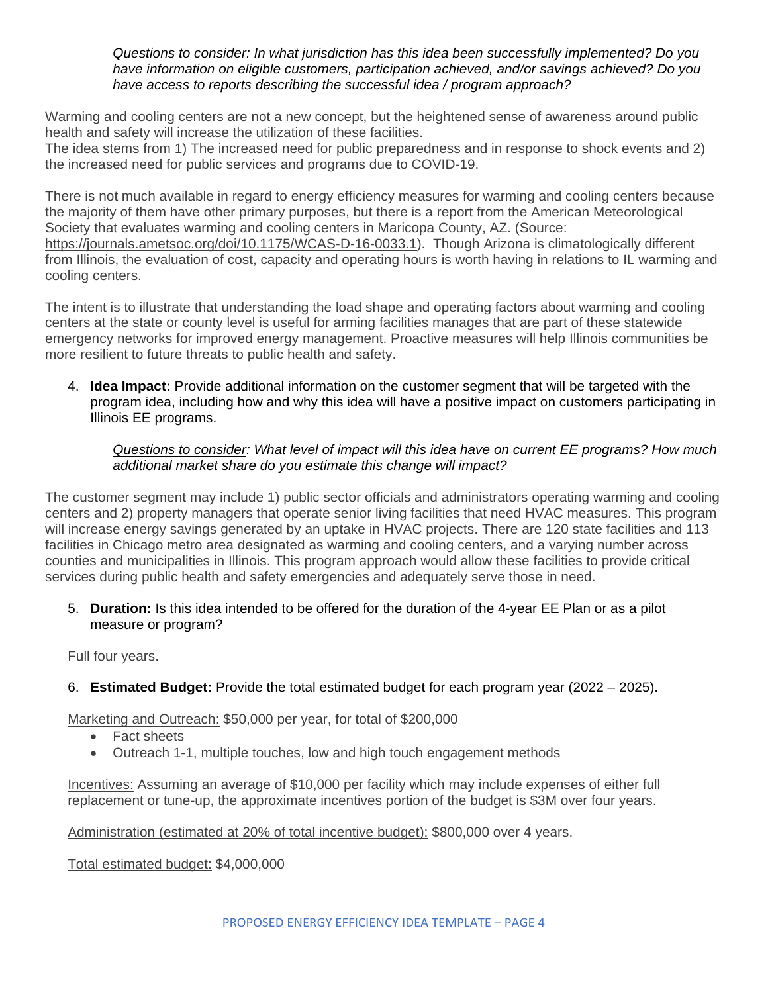*Questions to consider: In what jurisdiction has this idea been successfully implemented? Do you have information on eligible customers, participation achieved, and/or savings achieved? Do you have access to reports describing the successful idea / program approach?* 

Warming and cooling centers are not a new concept, but the heightened sense of awareness around public health and safety will increase the utilization of these facilities.

The idea stems from 1) The increased need for public preparedness and in response to shock events and 2) the increased need for public services and programs due to COVID-19.

There is not much available in regard to energy efficiency measures for warming and cooling centers because the majority of them have other primary purposes, but there is a report from the American Meteorological Society that evaluates warming and cooling centers in Maricopa County, AZ. (Source:

[https://journals.ametsoc.org/doi/10.1175/WCAS-D-16-0033.1\)](https://journals.ametsoc.org/doi/10.1175/WCAS-D-16-0033.1). Though Arizona is climatologically different from Illinois, the evaluation of cost, capacity and operating hours is worth having in relations to IL warming and cooling centers.

The intent is to illustrate that understanding the load shape and operating factors about warming and cooling centers at the state or county level is useful for arming facilities manages that are part of these statewide emergency networks for improved energy management. Proactive measures will help Illinois communities be more resilient to future threats to public health and safety.

4. **Idea Impact:** Provide additional information on the customer segment that will be targeted with the program idea, including how and why this idea will have a positive impact on customers participating in Illinois EE programs.

#### *Questions to consider: What level of impact will this idea have on current EE programs? How much additional market share do you estimate this change will impact?*

The customer segment may include 1) public sector officials and administrators operating warming and cooling centers and 2) property managers that operate senior living facilities that need HVAC measures. This program will increase energy savings generated by an uptake in HVAC projects. There are 120 state facilities and 113 facilities in Chicago metro area designated as warming and cooling centers, and a varying number across counties and municipalities in Illinois. This program approach would allow these facilities to provide critical services during public health and safety emergencies and adequately serve those in need.

5. **Duration:** Is this idea intended to be offered for the duration of the 4-year EE Plan or as a pilot measure or program?

Full four years.

6. **Estimated Budget:** Provide the total estimated budget for each program year (2022 – 2025).

Marketing and Outreach: \$50,000 per year, for total of \$200,000

- Fact sheets
- Outreach 1-1, multiple touches, low and high touch engagement methods

Incentives: Assuming an average of \$10,000 per facility which may include expenses of either full replacement or tune-up, the approximate incentives portion of the budget is \$3M over four years.

Administration (estimated at 20% of total incentive budget): \$800,000 over 4 years.

Total estimated budget: \$4,000,000